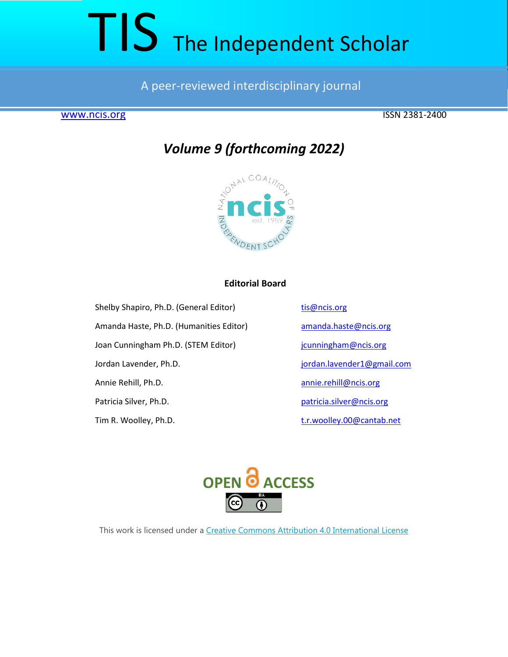# TIS The Independent Scholar

# A peer-reviewed interdisciplinary journal

[www.ncis.org](about:blank) ISSN 2381-2400

# *Volume 9 (forthcoming 2022)*



## **Editorial Board**

Shelby Shapiro, Ph.D. (General Editor) [tis@ncis.org](about:blank)

Amanda Haste, Ph.D. (Humanities Editor) [amanda.haste@ncis.org](about:blank)

Joan Cunningham Ph.D. (STEM Editor) [jcunningham@ncis.org](about:blank)

Jordan Lavender, Ph.D. in the same state of the state of intervals in the state of the state of the state of the state of the state of the state of the state of the state of the state of the state of the state of the state

Annie Rehill, Ph.D. [annie.rehill@ncis.org](about:blank)

Patricia Silver, Ph.D. example 20 a patricia.silver@ncis.org

Tim R. Woolley, Ph.D. [t.r.woolley.00@cantab.net](about:blank)



This work is licensed under a [Creative Commons Attribution 4.0 International License](about:blank)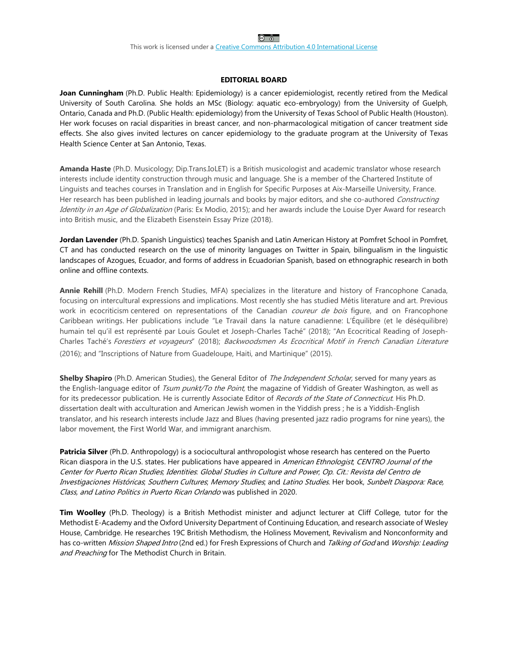This work is licensed under a [Creative Commons Attribution 4.0 International License](about:blank)

#### **EDITORIAL BOARD**

**Joan Cunningham** (Ph.D. Public Health: Epidemiology) is a cancer epidemiologist, recently retired from the Medical University of South Carolina. She holds an MSc (Biology: aquatic eco-embryology) from the University of Guelph, Ontario, Canada and Ph.D. (Public Health: epidemiology) from the University of Texas School of Public Health (Houston). Her work focuses on racial disparities in breast cancer, and non-pharmacological mitigation of cancer treatment side effects. She also gives invited lectures on cancer epidemiology to the graduate program at the University of Texas Health Science Center at San Antonio, Texas.

**Amanda Haste** (Ph.D. Musicology; Dip.Trans.IoLET) is a British musicologist and academic translator whose research interests include identity construction through music and language. She is a member of the Chartered Institute of Linguists and teaches courses in Translation and in English for Specific Purposes at Aix-Marseille University, France. Her research has been published in leading journals and books by major editors, and she co-authored Constructing Identity in an Age of Globalization (Paris: Ex Modio, 2015); and her awards include the Louise Dyer Award for research into British music, and the Elizabeth Eisenstein Essay Prize (2018).

**Jordan Lavender** (Ph.D. Spanish Linguistics) teaches Spanish and Latin American History at Pomfret School in Pomfret, CT and has conducted research on the use of minority languages on Twitter in Spain, bilingualism in the linguistic landscapes of Azogues, Ecuador, and forms of address in Ecuadorian Spanish, based on ethnographic research in both online and offline contexts.

**Annie Rehill** (Ph.D. Modern French Studies, MFA) specializes in the literature and history of Francophone Canada, focusing on intercultural expressions and implications. Most recently she has studied Métis literature and art. Previous work in ecocriticism centered on representations of the Canadian *coureur de bois* figure, and on Francophone Caribbean writings. Her publications include "Le Travail dans la nature canadienne: L'Équilibre (et le déséquilibre) humain tel qu'il est représenté par Louis Goulet et Joseph-Charles Taché" (2018); "An Ecocritical Reading of Joseph-Charles Taché's Forestiers et voyageurs" (2018); Backwoodsmen As Ecocritical Motif in French Canadian Literature (2016); and "Inscriptions of Nature from Guadeloupe, Haiti, and Martinique" (2015).

**Shelby Shapiro** (Ph.D. American Studies), the General Editor of The Independent Scholar, served for many years as the English-language editor of Tsum punkt/To the Point, the magazine of Yiddish of Greater Washington, as well as for its predecessor publication. He is currently Associate Editor of Records of the State of Connecticut. His Ph.D. dissertation dealt with acculturation and American Jewish women in the Yiddish press ; he is a Yiddish-English translator, and his research interests include Jazz and Blues (having presented jazz radio programs for nine years), the labor movement, the First World War, and immigrant anarchism.

**Patricia Silver** (Ph.D. Anthropology) is a sociocultural anthropologist whose research has centered on the Puerto Rican diaspora in the U.S. states. Her publications have appeared in American Ethnologist; CENTRO Journal of the Center for Puerto Rican Studies; Identities: Global Studies in Culture and Power; Op. Cit.: Revista del Centro de Investigaciones Históricas; Southern Cultures; Memory Studies; and Latino Studies. Her book, Sunbelt Diaspora: Race, Class, and Latino Politics in Puerto Rican Orlando was published in 2020.

**Tim Woolley** (Ph.D. Theology) is a British Methodist minister and adjunct lecturer at Cliff College, tutor for the Methodist E-Academy and the Oxford University Department of Continuing Education, and research associate of Wesley House, Cambridge. He researches 19C British Methodism, the Holiness Movement, Revivalism and Nonconformity and has co-written Mission Shaped Intro (2nd ed.) for Fresh Expressions of Church and Talking of God and Worship: Leading and Preaching for The Methodist Church in Britain.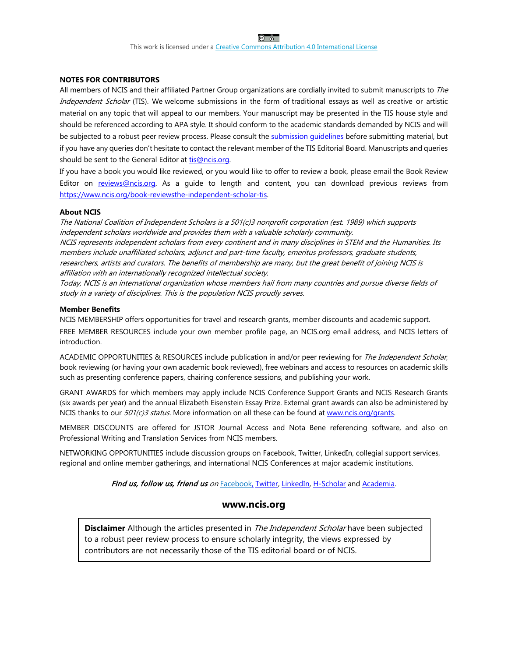$\circ$   $\circ$ 

#### **NOTES FOR CONTRIBUTORS**

All members of NCIS and their affiliated Partner Group organizations are cordially invited to submit manuscripts to The Independent Scholar (TIS). We welcome submissions in the form of traditional essays as well as creative or artistic material on any topic that will appeal to our members. Your manuscript may be presented in the TIS house style and should be referenced according to APA style. It should conform to the academic standards demanded by NCIS and will be subjected to a robust peer review process. Please consult the [submission guidelines](about:blank) before submitting material, but if you have any queries don't hesitate to contact the relevant member of the TIS Editorial Board. Manuscripts and queries should be sent to the General Editor at tis@ncis.org.

If you have a book you would like reviewed, or you would like to offer to review a book, please email the Book Review Editor on [reviews@ncis.org.](about:blank) As a guide to length and content, you can download previous reviews from [https://www.ncis.org/book-reviewsthe-independent-scholar-tis.](about:blank)

#### **About NCIS**

The National Coalition of Independent Scholars is a 501(c)3 nonprofit corporation (est. 1989) which supports independent scholars worldwide and provides them with a valuable scholarly community.

NCIS represents independent scholars from every continent and in many disciplines in STEM and the Humanities. Its members include unaffiliated scholars, adjunct and part-time faculty, emeritus professors, graduate students, researchers, artists and curators. The benefits of membership are many, but the great benefit of joining NCIS is affiliation with an internationally recognized intellectual society.

Today, NCIS is an international organization whose members hail from many countries and pursue diverse fields of study in a variety of disciplines. This is the population NCIS proudly serves.

#### **Member Benefits**

NCIS MEMBERSHIP offers opportunities for travel and research grants, member discounts and academic support.

FREE MEMBER RESOURCES include your own member profile page, an NCIS.org email address, and NCIS letters of introduction.

ACADEMIC OPPORTUNITIES & RESOURCES include publication in and/or peer reviewing for The Independent Scholar, book reviewing (or having your own academic book reviewed), free webinars and access to resources on academic skills such as presenting conference papers, chairing conference sessions, and publishing your work.

GRANT AWARDS for which members may apply include NCIS Conference Support Grants and NCIS Research Grants (six awards per year) and the annual Elizabeth Eisenstein Essay Prize. External grant awards can also be administered by NCIS thanks to our 501(c)3 status. More information on all these can be found at [www.ncis.org/grants.](about:blank)

MEMBER DISCOUNTS are offered for JSTOR Journal Access and Nota Bene referencing software, and also on [Professional Writing and Translation](about:blank) Services from NCIS members.

NETWORKING OPPORTUNITIES include discussion groups on [Facebook, Twitter, LinkedIn,](about:blank) collegial support services, regional and online member gatherings, and international NCIS Conferences at major academic institutions.

#### Find us, follow us, friend us on [Facebook,](about:blank) [Twitter,](about:blank) [LinkedIn,](about:blank) [H-Scholar](about:blank) and [Academia.](about:blank)

#### **www.ncis.org**

**Disclaimer** Although the articles presented in *The Independent Scholar* have been subjected to a robust peer review process to ensure scholarly integrity, the views expressed by contributors are not necessarily those of the TIS editorial board or of NCIS.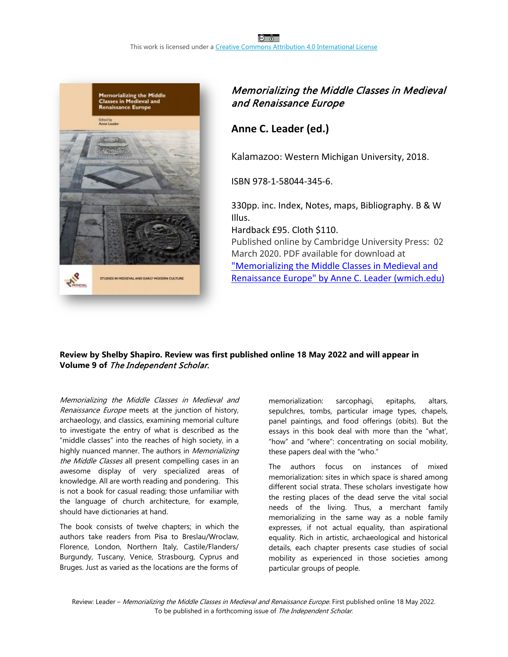

## Memorializing the Middle Classes in Medieval and Renaissance Europe

# **Anne C. Leader (ed.)**

Kalamazoo: Western Michigan University, 2018.

ISBN 978-1-58044-345-6.

330pp. inc. Index, Notes, maps, Bibliography. B & W Illus.

Hardback £95. Cloth \$110.

Published online by Cambridge University Press: 02 March 2020. PDF available for download at ["Memorializing the Middle Classes in Medieval and](https://scholarworks.wmich.edu/mip_smemc/3/#:%7E:text=Memorializing%20the%20Middle%20Classes%20in%20Medieval%20and%20Renaissance,and%20Spain%20between%20the%20twelfth%20and%20seventeenth%20centuries.)  [Renaissance Europe" by Anne C. Leader \(wmich.edu\)](https://scholarworks.wmich.edu/mip_smemc/3/#:%7E:text=Memorializing%20the%20Middle%20Classes%20in%20Medieval%20and%20Renaissance,and%20Spain%20between%20the%20twelfth%20and%20seventeenth%20centuries.)

### **Review by Shelby Shapiro. Review was first published online 18 May 2022 and will appear in Volume 9 of** The Independent Scholar.

Memorializing the Middle Classes in Medieval and Renaissance Europe meets at the junction of history, archaeology, and classics, examining memorial culture to investigate the entry of what is described as the "middle classes" into the reaches of high society, in a highly nuanced manner. The authors in Memorializing the Middle Classes all present compelling cases in an awesome display of very specialized areas of knowledge. All are worth reading and pondering. This is not a book for casual reading; those unfamiliar with the language of church architecture, for example, should have dictionaries at hand.

The book consists of twelve chapters; in which the authors take readers from Pisa to Breslau/Wroclaw, Florence, London, Northern Italy, Castile/Flanders/ Burgundy, Tuscany, Venice, Strasbourg, Cyprus and Bruges. Just as varied as the locations are the forms of

memorialization: sarcophagi, epitaphs, altars, sepulchres, tombs, particular image types, chapels, panel paintings, and food offerings (obits). But the essays in this book deal with more than the "what', "how" and "where": concentrating on social mobility, these papers deal with the "who."

The authors focus on instances of mixed memorialization: sites in which space is shared among different social strata. These scholars investigate how the resting places of the dead serve the vital social needs of the living. Thus, a merchant family memorializing in the same way as a noble family expresses, if not actual equality, than aspirational equality. Rich in artistic, archaeological and historical details, each chapter presents case studies of social mobility as experienced in those societies among particular groups of people.

Review: Leader - Memorializing the Middle Classes in Medieval and Renaissance Europe. First published online 18 May 2022. To be published in a forthcoming issue of The Independent Scholar.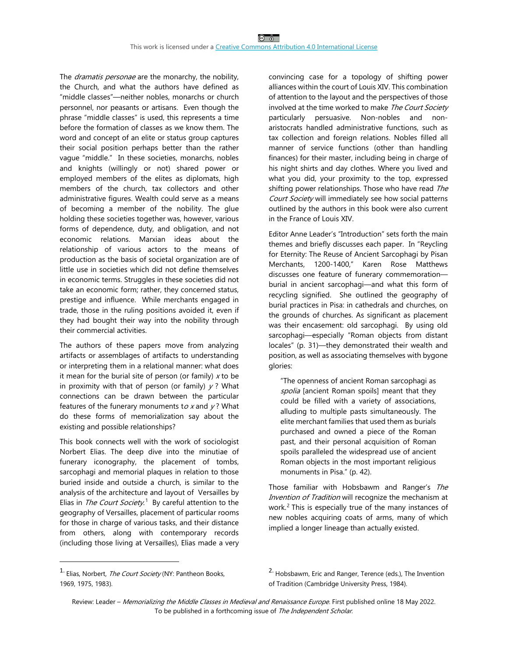The *dramatis personae* are the monarchy, the nobility, the Church, and what the authors have defined as "middle classes"—neither nobles, monarchs or church personnel, nor peasants or artisans. Even though the phrase "middle classes" is used, this represents a time before the formation of classes as we know them. The word and concept of an elite or status group captures their social position perhaps better than the rather vague "middle." In these societies, monarchs, nobles and knights (willingly or not) shared power or employed members of the elites as diplomats, high members of the church, tax collectors and other administrative figures. Wealth could serve as a means of becoming a member of the nobility. The glue holding these societies together was, however, various forms of dependence, duty, and obligation, and not economic relations. Marxian ideas about the relationship of various actors to the means of production as the basis of societal organization are of little use in societies which did not define themselves in economic terms. Struggles in these societies did not take an economic form; rather, they concerned status, prestige and influence. While merchants engaged in trade, those in the ruling positions avoided it, even if they had bought their way into the nobility through their commercial activities.

The authors of these papers move from analyzing artifacts or assemblages of artifacts to understanding or interpreting them in a relational manner: what does it mean for the burial site of person (or family)  $x$  to be in proximity with that of person (or family)  $y$ ? What connections can be drawn between the particular features of the funerary monuments to x and  $y$ ? What do these forms of memorialization say about the existing and possible relationships?

This book connects well with the work of sociologist Norbert Elias. The deep dive into the minutiae of funerary iconography, the placement of tombs, sarcophagi and memorial plaques in relation to those buried inside and outside a church, is similar to the analysis of the architecture and layout of Versailles by Elias in The Court Society.<sup>[1](#page-4-0)</sup> By careful attention to the geography of Versailles, placement of particular rooms for those in charge of various tasks, and their distance from others, along with contemporary records (including those living at Versailles), Elias made a very

convincing case for a topology of shifting power alliances within the court of Louis XIV. This combination of attention to the layout and the perspectives of those involved at the time worked to make The Court Society particularly persuasive. Non-nobles and nonaristocrats handled administrative functions, such as tax collection and foreign relations. Nobles filled all manner of service functions (other than handling finances) for their master, including being in charge of his night shirts and day clothes. Where you lived and what you did, your proximity to the top, expressed shifting power relationships. Those who have read The Court Society will immediately see how social patterns outlined by the authors in this book were also current in the France of Louis XIV.

Editor Anne Leader's "Introduction" sets forth the main themes and briefly discusses each paper. In "Reycling for Eternity: The Reuse of Ancient Sarcophagi by Pisan Merchants, 1200-1400," Karen Rose Matthews discusses one feature of funerary commemoration burial in ancient sarcophagi—and what this form of recycling signified. She outlined the geography of burial practices in Pisa: in cathedrals and churches, on the grounds of churches. As significant as placement was their encasement: old sarcophagi. By using old sarcophagi—especially "Roman objects from distant locales" (p. 31)—they demonstrated their wealth and position, as well as associating themselves with bygone glories:

"The openness of ancient Roman sarcophagi as spolia [ancient Roman spoils] meant that they could be filled with a variety of associations, alluding to multiple pasts simultaneously. The elite merchant families that used them as burials purchased and owned a piece of the Roman past, and their personal acquisition of Roman spoils paralleled the widespread use of ancient Roman objects in the most important religious monuments in Pisa." (p. 42).

Those familiar with Hobsbawm and Ranger's The Invention of Tradition will recognize the mechanism at work.<sup>[2](#page-4-0)</sup> This is especially true of the many instances of new nobles acquiring coats of arms, many of which implied a longer lineage than actually existed.

<span id="page-4-0"></span><sup>&</sup>lt;sup>1.</sup> Elias, Norbert, *The Court Society* (NY: Pantheon Books, 1969, 1975, 1983).

<sup>&</sup>lt;sup>2.</sup> Hobsbawm, Eric and Ranger, Terence (eds.), The Invention of Tradition (Cambridge University Press, 1984).

Review: Leader - Memorializing the Middle Classes in Medieval and Renaissance Europe. First published online 18 May 2022. To be published in a forthcoming issue of The Independent Scholar.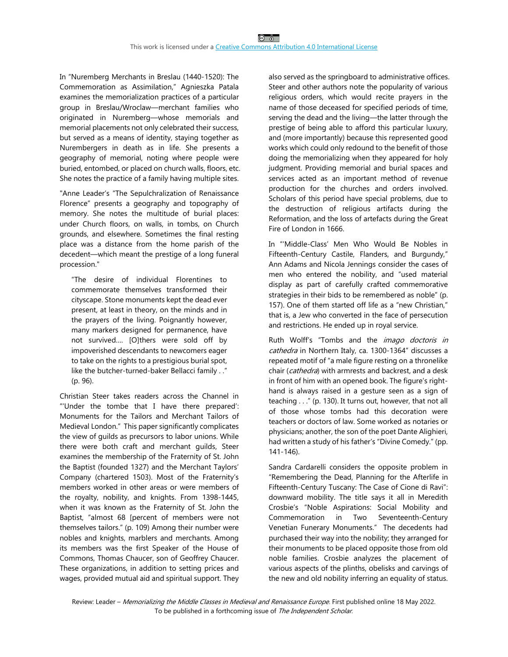In "Nuremberg Merchants in Breslau (1440-1520): The Commemoration as Assimilation," Agnieszka Patala examines the memorialization practices of a particular group in Breslau/Wroclaw—merchant families who originated in Nuremberg—whose memorials and memorial placements not only celebrated their success, but served as a means of identity, staying together as Nurembergers in death as in life. She presents a geography of memorial, noting where people were buried, entombed, or placed on church walls, floors, etc. She notes the practice of a family having multiple sites.

"Anne Leader's "The Sepulchralization of Renaissance Florence" presents a geography and topography of memory. She notes the multitude of burial places: under Church floors, on walls, in tombs, on Church grounds, and elsewhere. Sometimes the final resting place was a distance from the home parish of the decedent—which meant the prestige of a long funeral procession."

"The desire of individual Florentines to commemorate themselves transformed their cityscape. Stone monuments kept the dead ever present, at least in theory, on the minds and in the prayers of the living. Poignantly however, many markers designed for permanence, have not survived…. [O]thers were sold off by impoverished descendants to newcomers eager to take on the rights to a prestigious burial spot, like the butcher-turned-baker Bellacci family . ." (p. 96).

Christian Steer takes readers across the Channel in "'Under the tombe that I have there prepared': Monuments for the Tailors and Merchant Tailors of Medieval London." This paper significantly complicates the view of guilds as precursors to labor unions. While there were both craft and merchant guilds, Steer examines the membership of the Fraternity of St. John the Baptist (founded 1327) and the Merchant Taylors' Company (chartered 1503). Most of the Fraternity's members worked in other areas or were members of the royalty, nobility, and knights. From 1398-1445, when it was known as the Fraternity of St. John the Baptist, "almost 68 [percent of members were not themselves tailors." (p. 109) Among their number were nobles and knights, marblers and merchants. Among its members was the first Speaker of the House of Commons, Thomas Chaucer, son of Geoffrey Chaucer. These organizations, in addition to setting prices and wages, provided mutual aid and spiritual support. They

also served as the springboard to administrative offices. Steer and other authors note the popularity of various religious orders, which would recite prayers in the name of those deceased for specified periods of time, serving the dead and the living—the latter through the prestige of being able to afford this particular luxury, and (more importantly) because this represented good works which could only redound to the benefit of those doing the memorializing when they appeared for holy judgment. Providing memorial and burial spaces and services acted as an important method of revenue production for the churches and orders involved. Scholars of this period have special problems, due to the destruction of religious artifacts during the Reformation, and the loss of artefacts during the Great Fire of London in 1666.

In "'Middle-Class' Men Who Would Be Nobles in Fifteenth-Century Castile, Flanders, and Burgundy," Ann Adams and Nicola Jennings consider the cases of men who entered the nobility, and "used material display as part of carefully crafted commemorative strategies in their bids to be remembered as noble" (p. 157). One of them started off life as a "new Christian," that is, a Jew who converted in the face of persecution and restrictions. He ended up in royal service.

Ruth Wolff's "Tombs and the *imago doctoris in* cathedra in Northern Italy, ca. 1300-1364" discusses a repeated motif of "a male figure resting on a thronelike chair (cathedra) with armrests and backrest, and a desk in front of him with an opened book. The figure's righthand is always raised in a gesture seen as a sign of teaching . . ." (p. 130). It turns out, however, that not all of those whose tombs had this decoration were teachers or doctors of law. Some worked as notaries or physicians; another, the son of the poet Dante Alighieri, had written a study of his father's "Divine Comedy." (pp. 141-146).

Sandra Cardarelli considers the opposite problem in "Remembering the Dead, Planning for the Afterlife in Fifteenth-Century Tuscany: The Case of Cione di Ravi": downward mobility. The title says it all in Meredith Crosbie's "Noble Aspirations: Social Mobility and Commemoration in Two Seventeenth-Century Venetian Funerary Monuments." The decedents had purchased their way into the nobility; they arranged for their monuments to be placed opposite those from old noble families. Crosbie analyzes the placement of various aspects of the plinths, obelisks and carvings of the new and old nobility inferring an equality of status.

Review: Leader - Memorializing the Middle Classes in Medieval and Renaissance Europe. First published online 18 May 2022. To be published in a forthcoming issue of The Independent Scholar.